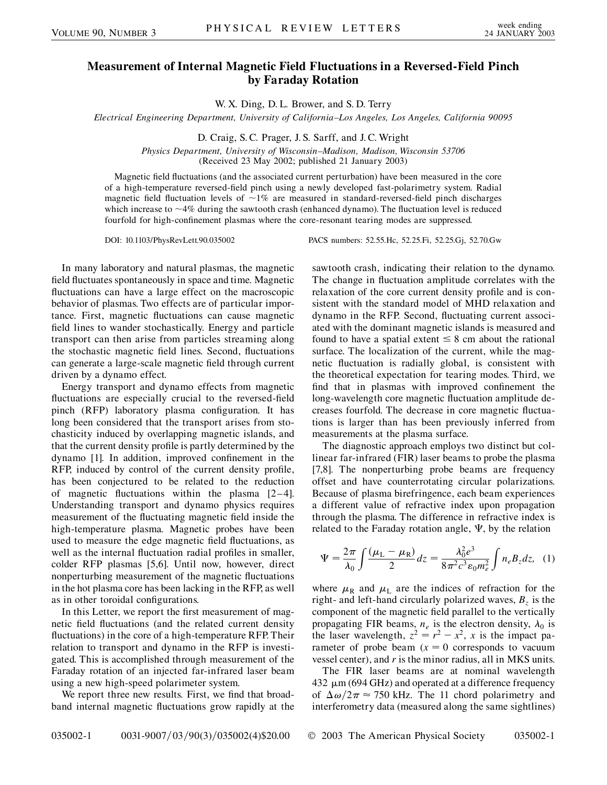## **Measurement of Internal Magnetic Field Fluctuations in a Reversed-Field Pinch by Faraday Rotation**

W. X. Ding, D. L. Brower, and S. D. Terry

*Electrical Engineering Department, University of California–Los Angeles, Los Angeles, California 90095*

D. Craig, S. C. Prager, J. S. Sarff, and J. C. Wright

*Physics Department, University of Wisconsin–Madison, Madison, Wisconsin 53706* (Received 23 May 2002; published 21 January 2003)

Magnetic field fluctuations (and the associated current perturbation) have been measured in the core of a high-temperature reversed-field pinch using a newly developed fast-polarimetry system. Radial magnetic field fluctuation levels of  $\sim 1\%$  are measured in standard-reversed-field pinch discharges which increase to  $\sim$ 4% during the sawtooth crash (enhanced dynamo). The fluctuation level is reduced fourfold for high-confinement plasmas where the core-resonant tearing modes are suppressed.

DOI: 10.1103/PhysRevLett.90.035002 PACS numbers: 52.55.Hc, 52.25.Fi, 52.25.Gj, 52.70.Gw

In many laboratory and natural plasmas, the magnetic field fluctuates spontaneously in space and time. Magnetic fluctuations can have a large effect on the macroscopic behavior of plasmas. Two effects are of particular importance. First, magnetic fluctuations can cause magnetic field lines to wander stochastically. Energy and particle transport can then arise from particles streaming along the stochastic magnetic field lines. Second, fluctuations can generate a large-scale magnetic field through current driven by a dynamo effect.

Energy transport and dynamo effects from magnetic fluctuations are especially crucial to the reversed-field pinch (RFP) laboratory plasma configuration. It has long been considered that the transport arises from stochasticity induced by overlapping magnetic islands, and that the current density profile is partly determined by the dynamo [1]. In addition, improved confinement in the RFP, induced by control of the current density profile, has been conjectured to be related to the reduction of magnetic fluctuations within the plasma [2–4]. Understanding transport and dynamo physics requires measurement of the fluctuating magnetic field inside the high-temperature plasma. Magnetic probes have been used to measure the edge magnetic field fluctuations, as well as the internal fluctuation radial profiles in smaller, colder RFP plasmas [5,6]. Until now, however, direct nonperturbing measurement of the magnetic fluctuations in the hot plasma core has been lacking in the RFP, as well as in other toroidal configurations.

In this Letter, we report the first measurement of magnetic field fluctuations (and the related current density fluctuations) in the core of a high-temperature RFP. Their relation to transport and dynamo in the RFP is investigated. This is accomplished through measurement of the Faraday rotation of an injected far-infrared laser beam using a new high-speed polarimeter system.

We report three new results. First, we find that broadband internal magnetic fluctuations grow rapidly at the sawtooth crash, indicating their relation to the dynamo. The change in fluctuation amplitude correlates with the relaxation of the core current density profile and is consistent with the standard model of MHD relaxation and dynamo in the RFP. Second, fluctuating current associated with the dominant magnetic islands is measured and found to have a spatial extent  $\leq 8$  cm about the rational surface. The localization of the current, while the magnetic fluctuation is radially global, is consistent with the theoretical expectation for tearing modes. Third, we find that in plasmas with improved confinement the long-wavelength core magnetic fluctuation amplitude decreases fourfold. The decrease in core magnetic fluctuations is larger than has been previously inferred from measurements at the plasma surface.

The diagnostic approach employs two distinct but collinear far-infrared (FIR) laser beams to probe the plasma [7,8]. The nonperturbing probe beams are frequency offset and have counterrotating circular polarizations. Because of plasma birefringence, each beam experiences a different value of refractive index upon propagation through the plasma. The difference in refractive index is related to the Faraday rotation angle,  $\Psi$ , by the relation

$$
\Psi = \frac{2\pi}{\lambda_0} \int \frac{(\mu_L - \mu_R)}{2} dz = \frac{\lambda_0^2 e^3}{8\pi^2 c^3 \varepsilon_0 m_e^2} \int n_e B_z dz. \tag{1}
$$

where  $\mu_R$  and  $\mu_L$  are the indices of refraction for the right- and left-hand circularly polarized waves,  $B<sub>z</sub>$  is the component of the magnetic field parallel to the vertically propagating FIR beams,  $n_e$  is the electron density,  $\lambda_0$  is the laser wavelength,  $z^2 = r^2 - x^2$ , *x* is the impact parameter of probe beam  $(x = 0$  corresponds to vacuum vessel center), and *r* is the minor radius, all in MKS units.

The FIR laser beams are at nominal wavelength  $432 \mu m$  (694 GHz) and operated at a difference frequency of  $\Delta \omega / 2\pi \approx 750$  kHz. The 11 chord polarimetry and interferometry data (measured along the same sightlines)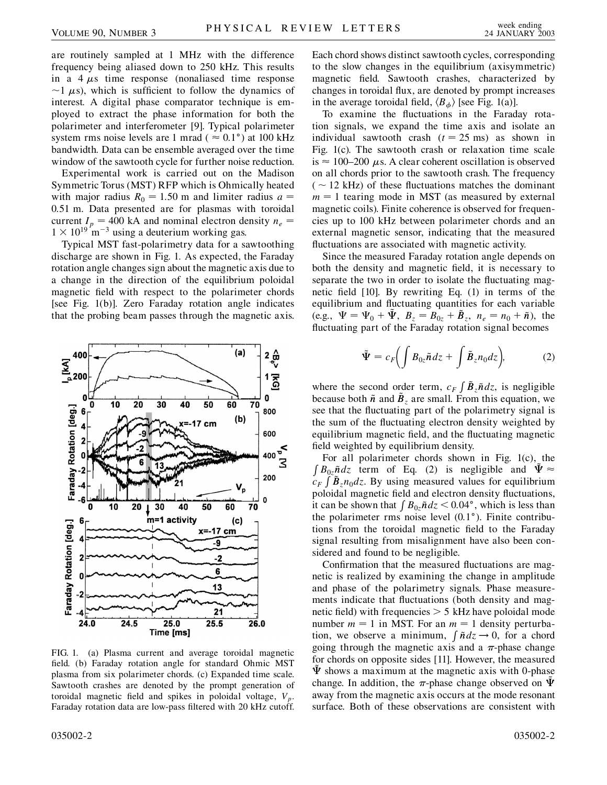are routinely sampled at 1 MHz with the difference frequency being aliased down to 250 kHz. This results in a  $4 \mu s$  time response (nonaliased time response  $\sim$ 1  $\mu$ s), which is sufficient to follow the dynamics of interest. A digital phase comparator technique is employed to extract the phase information for both the polarimeter and interferometer [9]. Typical polarimeter system rms noise levels are 1 mrad ( $\approx 0.1^{\circ}$ ) at 100 kHz bandwidth. Data can be ensemble averaged over the time window of the sawtooth cycle for further noise reduction.

Experimental work is carried out on the Madison Symmetric Torus (MST) RFP which is Ohmically heated with major radius  $R_0 = 1.50$  m and limiter radius  $a =$ 0*:*51 m. Data presented are for plasmas with toroidal current  $I_p = 400$  kA and nominal electron density  $n_e =$  $1 \times 10^{19}$  m<sup>-3</sup> using a deuterium working gas.

Typical MST fast-polarimetry data for a sawtoothing discharge are shown in Fig. 1. As expected, the Faraday rotation angle changes sign about the magnetic axis due to a change in the direction of the equilibrium poloidal magnetic field with respect to the polarimeter chords [see Fig. 1(b)]. Zero Faraday rotation angle indicates that the probing beam passes through the magnetic axis.



FIG. 1. (a) Plasma current and average toroidal magnetic field. (b) Faraday rotation angle for standard Ohmic MST plasma from six polarimeter chords. (c) Expanded time scale. Sawtooth crashes are denoted by the prompt generation of toroidal magnetic field and spikes in poloidal voltage, *Vp*. Faraday rotation data are low-pass filtered with 20 kHz cutoff.

Each chord shows distinct sawtooth cycles, corresponding to the slow changes in the equilibrium (axisymmetric) magnetic field. Sawtooth crashes, characterized by changes in toroidal flux, are denoted by prompt increases in the average toroidal field,  $\langle B_{\phi} \rangle$  [see Fig. 1(a)].

To examine the fluctuations in the Faraday rotation signals, we expand the time axis and isolate an individual sawtooth crash  $(t = 25 \text{ ms})$  as shown in Fig. 1(c). The sawtooth crash or relaxation time scale is  $\approx 100-200 \mu s$ . A clear coherent oscillation is observed on all chords prior to the sawtooth crash. The frequency  $($   $\sim$  12 kHz) of these fluctuations matches the dominant  $m = 1$  tearing mode in MST (as measured by external magnetic coils). Finite coherence is observed for frequencies up to 100 kHz between polarimeter chords and an external magnetic sensor, indicating that the measured fluctuations are associated with magnetic activity.

Since the measured Faraday rotation angle depends on both the density and magnetic field, it is necessary to separate the two in order to isolate the fluctuating magnetic field [10]. By rewriting Eq. (1) in terms of the equilibrium and fluctuating quantities for each variable (e.g.,  $\Psi = \Psi_0 + \tilde{\Psi}$ ,  $B_z = B_{0z} + \tilde{B}_z$ ,  $n_e = n_0 + \tilde{n}$ ), the fluctuating part of the Faraday rotation signal becomes

$$
\tilde{\Psi} = c_F \bigg( \int B_{0z} \tilde{n} dz + \int \tilde{B}_z n_0 dz \bigg), \tag{2}
$$

where the second order term,  $c_F \int \tilde{B}_z \tilde{n} dz$ , is negligible because both  $\tilde{n}$  and  $\tilde{B}_z$  are small. From this equation, we see that the fluctuating part of the polarimetry signal is the sum of the fluctuating electron density weighted by equilibrium magnetic field, and the fluctuating magnetic field weighted by equilibrium density.

For all polarimeter chords shown in Fig. 1(c), the  $\int B_{0z} \tilde{n} dz$  term of Eq. (2) is negligible and  $\tilde{\Psi} \approx$  $c_F \int \tilde{B}_z n_0 dz$ . By using measured values for equilibrium poloidal magnetic field and electron density fluctuations, it can be shown that  $\int B_{0z} \tilde{n} dz < 0.04^{\circ}$ , which is less than the polarimeter rms noise level (0.1°). Finite contributions from the toroidal magnetic field to the Faraday signal resulting from misalignment have also been considered and found to be negligible.

Confirmation that the measured fluctuations are magnetic is realized by examining the change in amplitude and phase of the polarimetry signals. Phase measurements indicate that fluctuations (both density and magnetic field) with frequencies *>* 5 kHz have poloidal mode number  $m = 1$  in MST. For an  $m = 1$  density perturbation, we observe a minimum,  $\int \tilde{n} dz \rightarrow 0$ , for a chord going through the magnetic axis and a  $\pi$ -phase change for chords on opposite sides [11]. However, the measured  $\Psi$  shows a maximum at the magnetic axis with 0-phase change. In addition, the  $\pi$ -phase change observed on  $\Psi$ away from the magnetic axis occurs at the mode resonant surface. Both of these observations are consistent with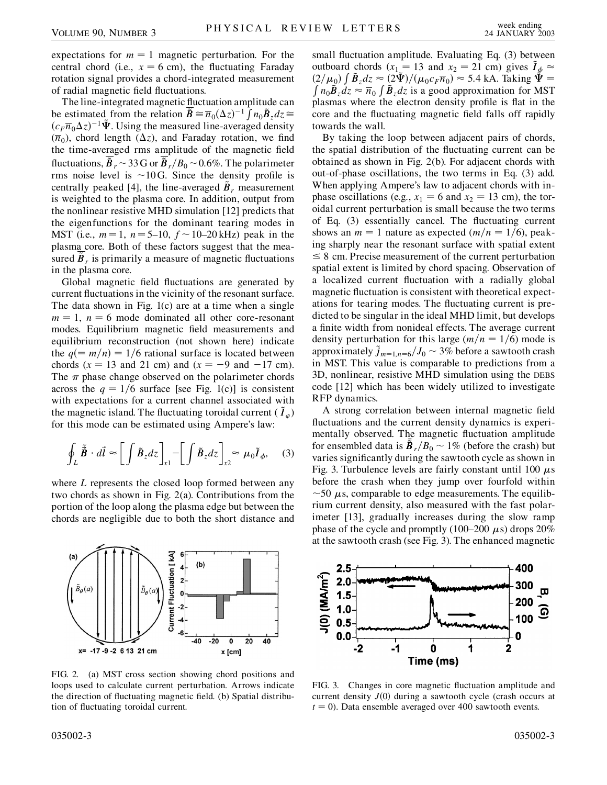expectations for  $m = 1$  magnetic perturbation. For the central chord (i.e.,  $x = 6$  cm), the fluctuating Faraday rotation signal provides a chord-integrated measurement of radial magnetic field fluctuations.

The line-integrated magnetic fluctuation amplitude can be estimated from the relation  $\vec{B} \cong \overline{n}_0 (\Delta z)^{-1} \int n_0 \vec{B}_z dz$  $(c_F \overline{n}_0 \Delta z)^{-1} \tilde{\Psi}$ . Using the measured line-averaged density  $(\overline{n}_0)$ , chord length  $(\Delta z)$ , and Faraday rotation, we find the time-averaged rms amplitude of the magnetic field fluctuations,  $\tilde{B}_r \sim 33$  G or  $\tilde{B}_r/B_0 \sim 0.6\%$ . The polarimeter rms noise level is  $\sim 10$ G. Since the density profile is centrally peaked [4], the line-averaged  $\tilde{B}_r$  measurement is weighted to the plasma core. In addition, output from the nonlinear resistive MHD simulation [12] predicts that the eigenfunctions for the dominant tearing modes in MST (i.e.,  $m=1$ ,  $n=5-10$ ,  $f \sim 10-20$  kHz) peak in the plasma core. Both of these factors suggest that the measured  $\tilde{B}_r$  is primarily a measure of magnetic fluctuations in the plasma core.

Global magnetic field fluctuations are generated by current fluctuations in the vicinity of the resonant surface. The data shown in Fig. 1(c) are at a time when a single  $m = 1$ ,  $n = 6$  mode dominated all other core-resonant modes. Equilibrium magnetic field measurements and equilibrium reconstruction (not shown here) indicate the  $q = m/n = 1/6$  rational surface is located between chords  $(x = 13$  and 21 cm) and  $(x = -9$  and  $-17$  cm). The  $\pi$  phase change observed on the polarimeter chords across the  $q = 1/6$  surface [see Fig. 1(c)] is consistent with expectations for a current channel associated with the magnetic island. The fluctuating toroidal current ( $\tilde{I}_{\varphi}$ ) for this mode can be estimated using Ampere's law:

$$
\oint_L \tilde{\vec{B}} \cdot d\vec{l} \approx \left[ \int \tilde{B}_z dz \right]_{x1} - \left[ \int \tilde{B}_z dz \right]_{x2} \approx \mu_0 \tilde{I}_{\phi}, \quad (3)
$$

where *L* represents the closed loop formed between any two chords as shown in Fig. 2(a). Contributions from the portion of the loop along the plasma edge but between the chords are negligible due to both the short distance and



FIG. 2. (a) MST cross section showing chord positions and loops used to calculate current perturbation. Arrows indicate the direction of fluctuating magnetic field. (b) Spatial distribution of fluctuating toroidal current.

035002-3 035002-3

small fluctuation amplitude. Evaluating Eq. (3) between outboard chords  $(x_1 = 13$  and  $x_2 = 21$  cm) gives  $\tilde{I}_{\phi} \approx$  $(2/\mu_0) \int \tilde{B}_z dz \approx (2\tilde{\Psi})/(\mu_0 c_F \overline{n}_0) \approx 5.4 \text{ kA.}$  Taking  $\tilde{\Psi} =$  $\int n_0 \vec{B}_z dz \approx \overline{n}_0 \int \vec{B}_z dz$  is a good approximation for MST plasmas where the electron density profile is flat in the core and the fluctuating magnetic field falls off rapidly towards the wall.

By taking the loop between adjacent pairs of chords, the spatial distribution of the fluctuating current can be obtained as shown in Fig. 2(b). For adjacent chords with out-of-phase oscillations, the two terms in Eq. (3) add. When applying Ampere's law to adjacent chords with inphase oscillations (e.g.,  $x_1 = 6$  and  $x_2 = 13$  cm), the toroidal current perturbation is small because the two terms of Eq. (3) essentially cancel. The fluctuating current shows an  $m = 1$  nature as expected  $(m/n = 1/6)$ , peaking sharply near the resonant surface with spatial extent  $\leq 8$  cm. Precise measurement of the current perturbation spatial extent is limited by chord spacing. Observation of a localized current fluctuation with a radially global magnetic fluctuation is consistent with theoretical expectations for tearing modes. The fluctuating current is predicted to be singular in the ideal MHD limit, but develops a finite width from nonideal effects. The average current density perturbation for this large  $(m/n = 1/6)$  mode is approximately  $\tilde{j}_{m=1,n=6}/J_0 \sim 3\%$  before a sawtooth crash in MST. This value is comparable to predictions from a 3D, nonlinear, resistive MHD simulation using the DEBS code [12] which has been widely utilized to investigate RFP dynamics.

A strong correlation between internal magnetic field fluctuations and the current density dynamics is experimentally observed. The magnetic fluctuation amplitude for ensembled data is  $\overline{\tilde{B}}_r/B_0 \sim 1\%$  (before the crash) but varies significantly during the sawtooth cycle as shown in Fig. 3. Turbulence levels are fairly constant until 100  $\mu$ s before the crash when they jump over fourfold within  $\sim$ 50  $\mu$ s, comparable to edge measurements. The equilibrium current density, also measured with the fast polarimeter [13], gradually increases during the slow ramp phase of the cycle and promptly (100–200  $\mu$ s) drops 20% at the sawtooth crash (see Fig. 3). The enhanced magnetic



FIG. 3. Changes in core magnetic fluctuation amplitude and current density  $J(0)$  during a sawtooth cycle (crash occurs at  $t = 0$ ). Data ensemble averaged over 400 sawtooth events.